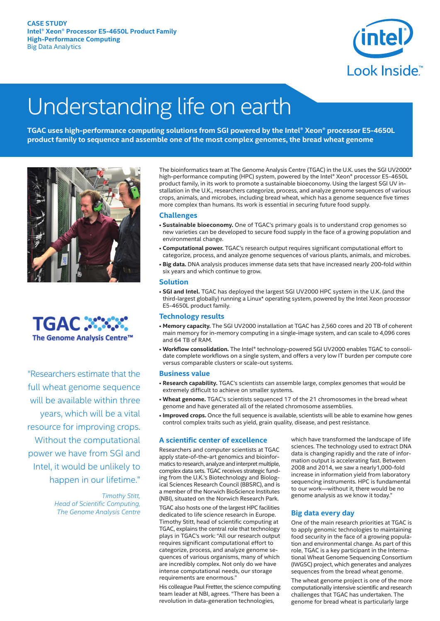

# Understanding life on earth

**TGAC uses high-performance computing solutions from SGI powered by the Intel® Xeon® processor E5-4650L product family to sequence and assemble one of the most complex genomes, the bread wheat genome**





"Researchers estimate that the full wheat genome sequence will be available within three years, which will be a vital resource for improving crops. Without the computational power we have from SGI and Intel, it would be unlikely to happen in our lifetime."

> *Timothy Stitt, Head of Scientific Computing, The Genome Analysis Centre*

The bioinformatics team at The Genome Analysis Centre (TGAC) in the U.K. uses the SGI UV2000\* high-performance computing (HPC) system, powered by the Intel® Xeon® processor E5-4650L product family, in its work to promote a sustainable bioeconomy. Using the largest SGI UV installation in the U.K., researchers categorize, process, and analyze genome sequences of various crops, animals, and microbes, including bread wheat, which has a genome sequence five times more complex than humans. Its work is essential in securing future food supply.

# **Challenges**

- **Sustainable bioeconomy.** One of TGAC's primary goals is to understand crop genomes so new varieties can be developed to secure food supply in the face of a growing population and environmental change.
- **Computational power.** TGAC's research output requires significant computational effort to categorize, process, and analyze genome sequences of various plants, animals, and microbes.
- **Big data.** DNA analysis produces immense data sets that have increased nearly 200-fold within six years and which continue to grow.

#### **Solution**

• **SGI and Intel.** TGAC has deployed the largest SGI UV2000 HPC system in the U.K. (and the third-largest globally) running a Linux\* operating system, powered by the Intel Xeon processor E5-4650L product family.

# **Technology results**

- **Memory capacity.** The SGI UV2000 installation at TGAC has 2,560 cores and 20 TB of coherent main memory for in-memory computing in a single-image system, and can scale to 4,096 cores and 64 TB of RAM.
- **Workflow consolidation.** The Intel® technology-powered SGI UV2000 enables TGAC to consolidate complete workflows on a single system, and offers a very low IT burden per compute core versus comparable clusters or scale-out systems.

# **Business value**

- **Research capability.** TGAC's scientists can assemble large, complex genomes that would be extremely difficult to achieve on smaller systems.
- **Wheat genome.** TGAC's scientists sequenced 17 of the 21 chromosomes in the bread wheat genome and have generated all of the related chromosome assemblies.
- **Improved crops.** Once the full sequence is available, scientists will be able to examine how genes control complex traits such as yield, grain quality, disease, and pest resistance.

# **A scientific center of excellence**

Researchers and computer scientists at TGAC apply state-of-the-art genomics and bioinformatics to research, analyze and interpret multiple, complex data sets. TGAC receives strategic funding from the U.K.'s Biotechnology and Biological Sciences Research Council (BBSRC), and is a member of the Norwich BioScience Institutes (NBI), situated on the Norwich Research Park. TGAC also hosts one of the largest HPC facilities dedicated to life science research in Europe. Timothy Stitt, head of scientific computing at TGAC, explains the central role that technology plays in TGAC's work: "All our research output requires significant computational effort to categorize, process, and analyze genome sequences of various organisms, many of which are incredibly complex. Not only do we have intense computational needs, our storage requirements are enormous."

His colleague Paul Fretter, the science computing team leader at NBI, agrees. "There has been a revolution in data-generation technologies,

which have transformed the landscape of life sciences. The technology used to extract DNA data is changing rapidly and the rate of information output is accelerating fast. Between 2008 and 2014, we saw a nearly1,000-fold increase in information yield from laboratory sequencing instruments. HPC is fundamental to our work—without it, there would be no genome analysis as we know it today."

# **Big data every day**

One of the main research priorities at TGAC is to apply genomic technologies to maintaining food security in the face of a growing population and environmental change. As part of this role, TGAC is a key participant in the International Wheat Genome Sequencing Consortium (IWGSC) project, which generates and analyzes sequences from the bread wheat genome.

The wheat genome project is one of the more computationally intensive scientific and research challenges that TGAC has undertaken. The genome for bread wheat is particularly large